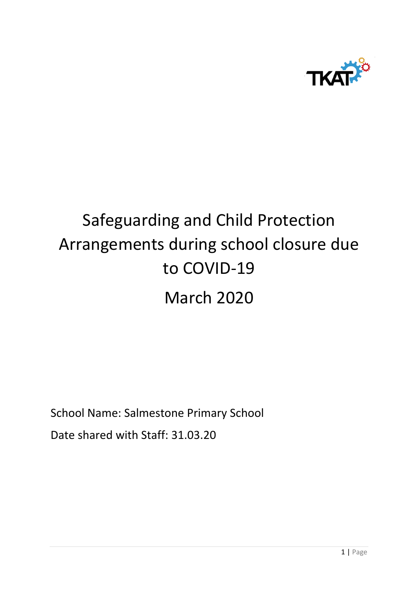

# Safeguarding and Child Protection Arrangements during school closure due to COVID-19 March 2020

School Name: Salmestone Primary School

Date shared with Staff: 31.03.20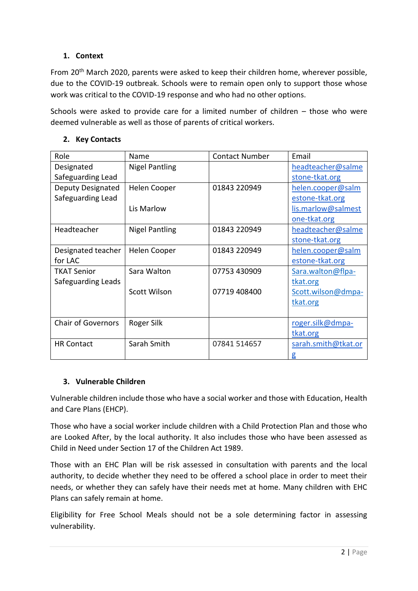# **1. Context**

From 20<sup>th</sup> March 2020, parents were asked to keep their children home, wherever possible, due to the COVID-19 outbreak. Schools were to remain open only to support those whose work was critical to the COVID-19 response and who had no other options.

Schools were asked to provide care for a limited number of children – those who were deemed vulnerable as well as those of parents of critical workers.

| Role                      | Name                  | <b>Contact Number</b> | Email               |
|---------------------------|-----------------------|-----------------------|---------------------|
| Designated                | <b>Nigel Pantling</b> |                       | headteacher@salme   |
| Safeguarding Lead         |                       |                       | stone-tkat.org      |
| Deputy Designated         | Helen Cooper          | 01843 220949          | helen.cooper@salm   |
| Safeguarding Lead         |                       |                       | estone-tkat.org     |
|                           | Lis Marlow            |                       | lis.marlow@salmest  |
|                           |                       |                       | one-tkat.org        |
| Headteacher               | <b>Nigel Pantling</b> | 01843 220949          | headteacher@salme   |
|                           |                       |                       | stone-tkat.org      |
| Designated teacher        | Helen Cooper          | 01843 220949          | helen.cooper@salm   |
| for LAC                   |                       |                       | estone-tkat.org     |
| <b>TKAT Senior</b>        | Sara Walton           | 07753 430909          | Sara.walton@flpa-   |
| Safeguarding Leads        |                       |                       | tkat.org            |
|                           | <b>Scott Wilson</b>   | 07719 408400          | Scott.wilson@dmpa-  |
|                           |                       |                       | tkat.org            |
|                           |                       |                       |                     |
| <b>Chair of Governors</b> | Roger Silk            |                       | roger.silk@dmpa-    |
|                           |                       |                       | tkat.org            |
| <b>HR Contact</b>         | Sarah Smith           | 07841 514657          | sarah.smith@tkat.or |
|                           |                       |                       | g                   |

#### **2. Key Contacts**

# **3. Vulnerable Children**

Vulnerable children include those who have a social worker and those with Education, Health and Care Plans (EHCP).

Those who have a social worker include children with a Child Protection Plan and those who are Looked After, by the local authority. It also includes those who have been assessed as Child in Need under Section 17 of the Children Act 1989.

Those with an EHC Plan will be risk assessed in consultation with parents and the local authority, to decide whether they need to be offered a school place in order to meet their needs, or whether they can safely have their needs met at home. Many children with EHC Plans can safely remain at home.

Eligibility for Free School Meals should not be a sole determining factor in assessing vulnerability.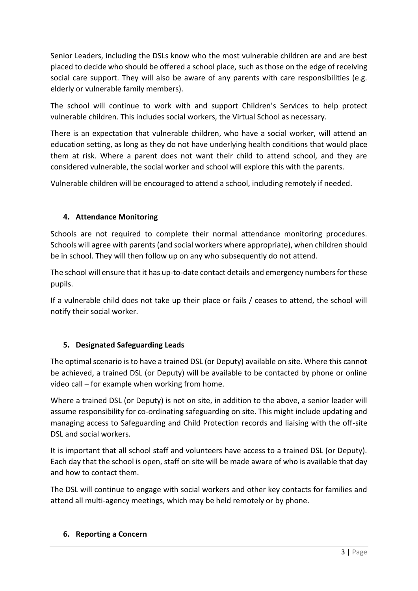Senior Leaders, including the DSLs know who the most vulnerable children are and are best placed to decide who should be offered a school place, such as those on the edge of receiving social care support. They will also be aware of any parents with care responsibilities (e.g. elderly or vulnerable family members).

The school will continue to work with and support Children's Services to help protect vulnerable children. This includes social workers, the Virtual School as necessary.

There is an expectation that vulnerable children, who have a social worker, will attend an education setting, as long as they do not have underlying health conditions that would place them at risk. Where a parent does not want their child to attend school, and they are considered vulnerable, the social worker and school will explore this with the parents.

Vulnerable children will be encouraged to attend a school, including remotely if needed.

# **4. Attendance Monitoring**

Schools are not required to complete their normal attendance monitoring procedures. Schools will agree with parents (and social workers where appropriate), when children should be in school. They will then follow up on any who subsequently do not attend.

The school will ensure that it has up-to-date contact details and emergency numbers for these pupils.

If a vulnerable child does not take up their place or fails / ceases to attend, the school will notify their social worker.

# **5. Designated Safeguarding Leads**

The optimal scenario is to have a trained DSL (or Deputy) available on site. Where this cannot be achieved, a trained DSL (or Deputy) will be available to be contacted by phone or online video call – for example when working from home.

Where a trained DSL (or Deputy) is not on site, in addition to the above, a senior leader will assume responsibility for co-ordinating safeguarding on site. This might include updating and managing access to Safeguarding and Child Protection records and liaising with the off-site DSL and social workers.

It is important that all school staff and volunteers have access to a trained DSL (or Deputy). Each day that the school is open, staff on site will be made aware of who is available that day and how to contact them.

The DSL will continue to engage with social workers and other key contacts for families and attend all multi-agency meetings, which may be held remotely or by phone.

#### **6. Reporting a Concern**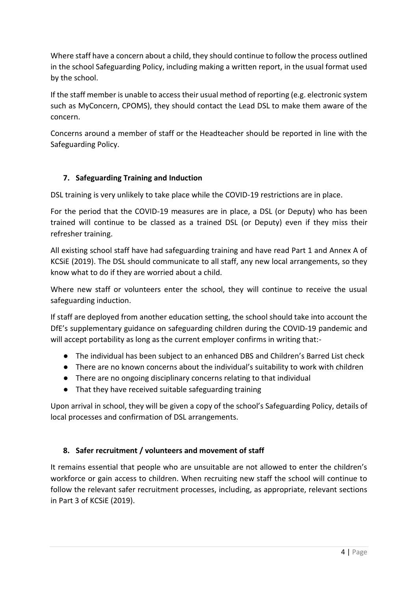Where staff have a concern about a child, they should continue to follow the process outlined in the school Safeguarding Policy, including making a written report, in the usual format used by the school.

If the staff member is unable to access their usual method of reporting (e.g. electronic system such as MyConcern, CPOMS), they should contact the Lead DSL to make them aware of the concern.

Concerns around a member of staff or the Headteacher should be reported in line with the Safeguarding Policy.

# **7. Safeguarding Training and Induction**

DSL training is very unlikely to take place while the COVID-19 restrictions are in place.

For the period that the COVID-19 measures are in place, a DSL (or Deputy) who has been trained will continue to be classed as a trained DSL (or Deputy) even if they miss their refresher training.

All existing school staff have had safeguarding training and have read Part 1 and Annex A of KCSiE (2019). The DSL should communicate to all staff, any new local arrangements, so they know what to do if they are worried about a child.

Where new staff or volunteers enter the school, they will continue to receive the usual safeguarding induction.

If staff are deployed from another education setting, the school should take into account the DfE's supplementary guidance on safeguarding children during the COVID-19 pandemic and will accept portability as long as the current employer confirms in writing that:-

- The individual has been subject to an enhanced DBS and Children's Barred List check
- There are no known concerns about the individual's suitability to work with children
- There are no ongoing disciplinary concerns relating to that individual
- That they have received suitable safeguarding training

Upon arrival in school, they will be given a copy of the school's Safeguarding Policy, details of local processes and confirmation of DSL arrangements.

# **8. Safer recruitment / volunteers and movement of staff**

It remains essential that people who are unsuitable are not allowed to enter the children's workforce or gain access to children. When recruiting new staff the school will continue to follow the relevant safer recruitment processes, including, as appropriate, relevant sections in Part 3 of KCSiE (2019).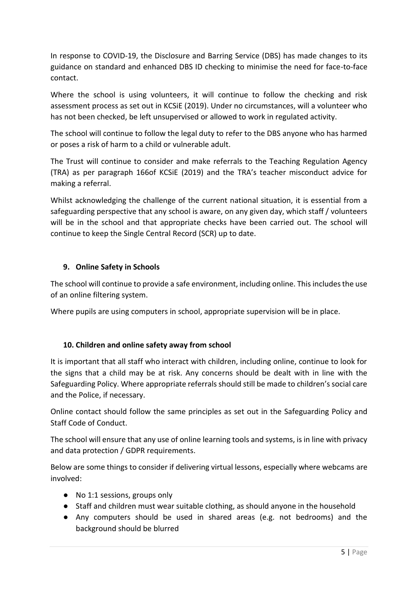In response to COVID-19, the Disclosure and Barring Service (DBS) has made changes to its guidance on standard and enhanced DBS ID checking to minimise the need for face-to-face contact.

Where the school is using volunteers, it will continue to follow the checking and risk assessment process as set out in KCSiE (2019). Under no circumstances, will a volunteer who has not been checked, be left unsupervised or allowed to work in regulated activity.

The school will continue to follow the legal duty to refer to the DBS anyone who has harmed or poses a risk of harm to a child or vulnerable adult.

The Trust will continue to consider and make referrals to the Teaching Regulation Agency (TRA) as per paragraph 166of KCSiE (2019) and the TRA's teacher misconduct advice for making a referral.

Whilst acknowledging the challenge of the current national situation, it is essential from a safeguarding perspective that any school is aware, on any given day, which staff / volunteers will be in the school and that appropriate checks have been carried out. The school will continue to keep the Single Central Record (SCR) up to date.

#### **9. Online Safety in Schools**

The school will continue to provide a safe environment, including online. This includes the use of an online filtering system.

Where pupils are using computers in school, appropriate supervision will be in place.

#### **10. Children and online safety away from school**

It is important that all staff who interact with children, including online, continue to look for the signs that a child may be at risk. Any concerns should be dealt with in line with the Safeguarding Policy. Where appropriate referrals should still be made to children's social care and the Police, if necessary.

Online contact should follow the same principles as set out in the Safeguarding Policy and Staff Code of Conduct.

The school will ensure that any use of online learning tools and systems, is in line with privacy and data protection / GDPR requirements.

Below are some things to consider if delivering virtual lessons, especially where webcams are involved:

- No 1:1 sessions, groups only
- Staff and children must wear suitable clothing, as should anyone in the household
- Any computers should be used in shared areas (e.g. not bedrooms) and the background should be blurred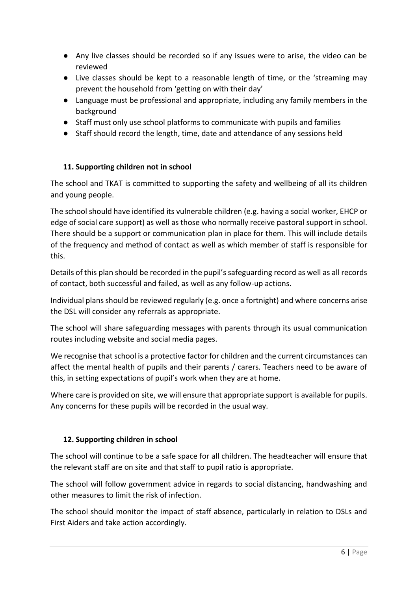- Any live classes should be recorded so if any issues were to arise, the video can be reviewed
- Live classes should be kept to a reasonable length of time, or the 'streaming may prevent the household from 'getting on with their day'
- Language must be professional and appropriate, including any family members in the background
- Staff must only use school platforms to communicate with pupils and families
- Staff should record the length, time, date and attendance of any sessions held

#### **11. Supporting children not in school**

The school and TKAT is committed to supporting the safety and wellbeing of all its children and young people.

The school should have identified its vulnerable children (e.g. having a social worker, EHCP or edge of social care support) as well as those who normally receive pastoral support in school. There should be a support or communication plan in place for them. This will include details of the frequency and method of contact as well as which member of staff is responsible for this.

Details of this plan should be recorded in the pupil's safeguarding record as well as all records of contact, both successful and failed, as well as any follow-up actions.

Individual plans should be reviewed regularly (e.g. once a fortnight) and where concerns arise the DSL will consider any referrals as appropriate.

The school will share safeguarding messages with parents through its usual communication routes including website and social media pages.

We recognise that school is a protective factor for children and the current circumstances can affect the mental health of pupils and their parents / carers. Teachers need to be aware of this, in setting expectations of pupil's work when they are at home.

Where care is provided on site, we will ensure that appropriate support is available for pupils. Any concerns for these pupils will be recorded in the usual way.

# **12. Supporting children in school**

The school will continue to be a safe space for all children. The headteacher will ensure that the relevant staff are on site and that staff to pupil ratio is appropriate.

The school will follow government advice in regards to social distancing, handwashing and other measures to limit the risk of infection.

The school should monitor the impact of staff absence, particularly in relation to DSLs and First Aiders and take action accordingly.